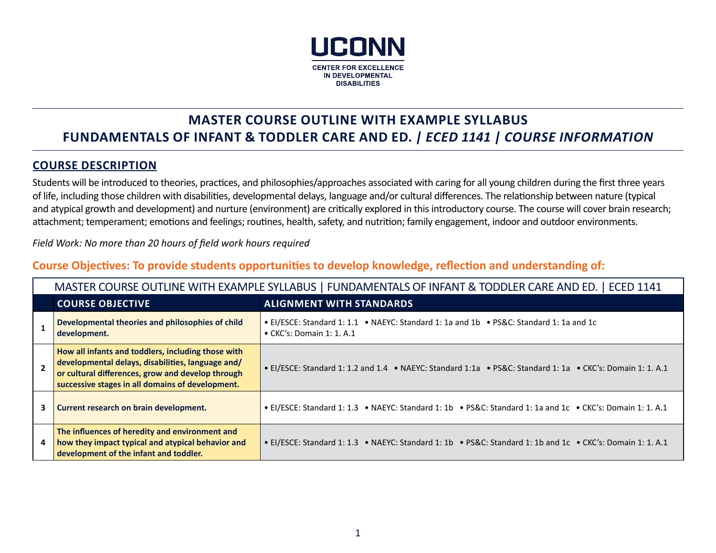

## **MASTER COURSE OUTLINE WITH EXAMPLE SYLLABUS FUNDAMENTALS OF INFANT & TODDLER CARE AND ED.** *| ECED 1141 | COURSE INFORMATION*

### **COURSE DESCRIPTION**

Students will be introduced to theories, practices, and philosophies/approaches associated with caring for all young children during the first three years of life, including those children with disabilities, developmental delays, language and/or cultural differences. The relationship between nature (typical and atypical growth and development) and nurture (environment) are critically explored in this introductory course. The course will cover brain research; attachment; temperament; emotions and feelings; routines, health, safety, and nutrition; family engagement, indoor and outdoor environments.

*Field Work: No more than 20 hours of field work hours required*

## **Course Objectives: To provide students opportunities to develop knowledge, reflection and understanding of:**

| MASTER COURSE OUTLINE WITH EXAMPLE SYLLABUS   FUNDAMENTALS OF INFANT & TODDLER CARE AND ED.   ECED 1141                                                                                                          |                                                                                                                              |  |  |
|------------------------------------------------------------------------------------------------------------------------------------------------------------------------------------------------------------------|------------------------------------------------------------------------------------------------------------------------------|--|--|
| <b>COURSE OBJECTIVE</b>                                                                                                                                                                                          | <b>ALIGNMENT WITH STANDARDS</b>                                                                                              |  |  |
| Developmental theories and philosophies of child<br>development.                                                                                                                                                 | • El/ESCE: Standard 1: 1.1 • NAEYC: Standard 1: 1a and 1b • PS&C: Standard 1: 1a and 1c<br>$\bullet$ CKC's: Domain 1: 1. A.1 |  |  |
| How all infants and toddlers, including those with<br>developmental delays, disabilities, language and/<br>or cultural differences, grow and develop through<br>successive stages in all domains of development. | • El/ESCE: Standard 1: 1.2 and 1.4 • NAEYC: Standard 1:1a • PS&C: Standard 1: 1a • CKC's: Domain 1: 1. A.1                   |  |  |
| Current research on brain development.                                                                                                                                                                           | • El/ESCE: Standard 1: 1.3 • NAEYC: Standard 1: 1b • PS&C: Standard 1: 1a and 1c • CKC's: Domain 1: 1. A.1                   |  |  |
| The influences of heredity and environment and<br>how they impact typical and atypical behavior and<br>development of the infant and toddler.                                                                    | • El/ESCE: Standard 1: 1.3 • NAEYC: Standard 1: 1b • PS&C: Standard 1: 1b and 1c • CKC's: Domain 1: 1. A.1                   |  |  |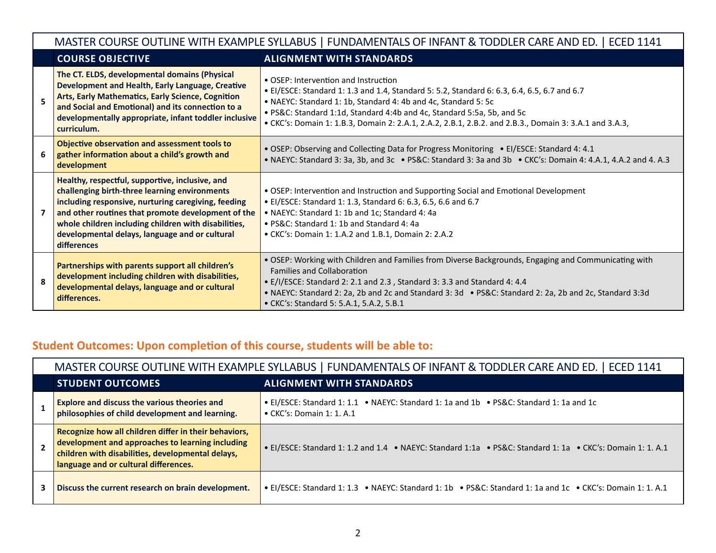|              | MASTER COURSE OUTLINE WITH EXAMPLE SYLLABUS   FUNDAMENTALS OF INFANT & TODDLER CARE AND ED.   ECED 1141                                                                                                                                                                                                                                |                                                                                                                                                                                                                                                                                                                                                                                           |  |  |  |
|--------------|----------------------------------------------------------------------------------------------------------------------------------------------------------------------------------------------------------------------------------------------------------------------------------------------------------------------------------------|-------------------------------------------------------------------------------------------------------------------------------------------------------------------------------------------------------------------------------------------------------------------------------------------------------------------------------------------------------------------------------------------|--|--|--|
|              | <b>COURSE OBJECTIVE</b>                                                                                                                                                                                                                                                                                                                | <b>ALIGNMENT WITH STANDARDS</b>                                                                                                                                                                                                                                                                                                                                                           |  |  |  |
| 5.           | The CT. ELDS, developmental domains (Physical<br>Development and Health, Early Language, Creative<br>Arts, Early Mathematics, Early Science, Cognition<br>and Social and Emotional) and its connection to a<br>developmentally appropriate, infant toddler inclusive<br>curriculum.                                                    | • OSEP: Intervention and Instruction<br>• El/ESCE: Standard 1: 1.3 and 1.4, Standard 5: 5.2, Standard 6: 6.3, 6.4, 6.5, 6.7 and 6.7<br>• NAEYC: Standard 1: 1b, Standard 4: 4b and 4c, Standard 5: 5c<br>• PS&C: Standard 1:1d, Standard 4:4b and 4c, Standard 5:5a, 5b, and 5c<br>• CKC's: Domain 1: 1.B.3, Domain 2: 2.A.1, 2.A.2, 2.B.1, 2.B.2. and 2.B.3., Domain 3: 3.A.1 and 3.A.3, |  |  |  |
|              | Objective observation and assessment tools to<br>gather information about a child's growth and<br>development                                                                                                                                                                                                                          | • OSEP: Observing and Collecting Data for Progress Monitoring • El/ESCE: Standard 4: 4.1<br>• NAEYC: Standard 3: 3a, 3b, and 3c • PS&C: Standard 3: 3a and 3b • CKC's: Domain 4: 4.A.1, 4.A.2 and 4. A.3                                                                                                                                                                                  |  |  |  |
|              | Healthy, respectful, supportive, inclusive, and<br>challenging birth-three learning environments<br>including responsive, nurturing caregiving, feeding<br>and other routines that promote development of the<br>whole children including children with disabilities,<br>developmental delays, language and or cultural<br>differences | . OSEP: Intervention and Instruction and Supporting Social and Emotional Development<br>• EI/ESCE: Standard 1: 1.3, Standard 6: 6.3, 6.5, 6.6 and 6.7<br>• NAEYC: Standard 1: 1b and 1c; Standard 4: 4a<br>• PS&C: Standard 1: 1b and Standard 4: 4a<br>• CKC's: Domain 1: 1.A.2 and 1.B.1, Domain 2: 2.A.2                                                                               |  |  |  |
| $\mathbf{R}$ | Partnerships with parents support all children's<br>development including children with disabilities,<br>developmental delays, language and or cultural<br>differences.                                                                                                                                                                | . OSEP: Working with Children and Families from Diverse Backgrounds, Engaging and Communicating with<br><b>Families and Collaboration</b><br>• E/I/ESCE: Standard 2: 2.1 and 2.3 , Standard 3: 3.3 and Standard 4: 4.4<br>• NAEYC: Standard 2: 2a, 2b and 2c and Standard 3: 3d • PS&C: Standard 2: 2a, 2b and 2c, Standard 3:3d<br>• CKC's: Standard 5: 5.A.1, 5.A.2, 5.B.1              |  |  |  |

# **Student Outcomes: Upon completion of this course, students will be able to:**

|             | MASTER COURSE OUTLINE WITH EXAMPLE SYLLABUS   FUNDAMENTALS OF INFANT & TODDLER CARE AND ED.   ECED 1141                                                                                                 |                                                                                                                              |  |  |
|-------------|---------------------------------------------------------------------------------------------------------------------------------------------------------------------------------------------------------|------------------------------------------------------------------------------------------------------------------------------|--|--|
|             | <b>STUDENT OUTCOMES</b>                                                                                                                                                                                 | <b>ALIGNMENT WITH STANDARDS</b>                                                                                              |  |  |
|             | <b>Explore and discuss the various theories and</b><br>philosophies of child development and learning.                                                                                                  | • El/ESCE: Standard 1: 1.1 • NAEYC: Standard 1: 1a and 1b • PS&C: Standard 1: 1a and 1c<br>$\bullet$ CKC's: Domain 1: 1. A.1 |  |  |
| $2^{\circ}$ | Recognize how all children differ in their behaviors,<br>development and approaches to learning including<br>children with disabilities, developmental delays,<br>language and or cultural differences. | • El/ESCE: Standard 1: 1.2 and 1.4 • NAEYC: Standard 1:1a • PS&C: Standard 1:1a • CKC's: Domain 1: 1. A.1                    |  |  |
|             | Discuss the current research on brain development.                                                                                                                                                      | • El/ESCE: Standard 1: 1.3 • NAEYC: Standard 1: 1b • PS&C: Standard 1: 1a and 1c • CKC's: Domain 1: 1. A.1                   |  |  |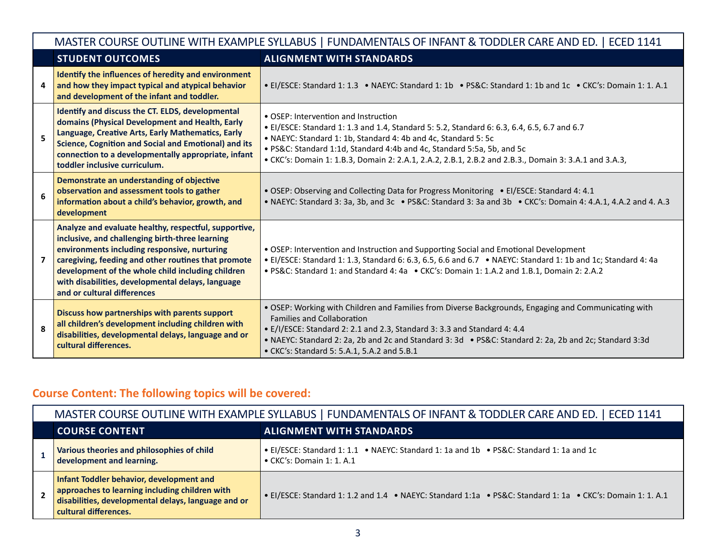|                | MASTER COURSE OUTLINE WITH EXAMPLE SYLLABUS   FUNDAMENTALS OF INFANT & TODDLER CARE AND ED.   ECED 1141                                                                                                                                                                                                                                                  |                                                                                                                                                                                                                                                                                                                                                                                          |  |  |  |
|----------------|----------------------------------------------------------------------------------------------------------------------------------------------------------------------------------------------------------------------------------------------------------------------------------------------------------------------------------------------------------|------------------------------------------------------------------------------------------------------------------------------------------------------------------------------------------------------------------------------------------------------------------------------------------------------------------------------------------------------------------------------------------|--|--|--|
|                | <b>STUDENT OUTCOMES</b>                                                                                                                                                                                                                                                                                                                                  | <b>ALIGNMENT WITH STANDARDS</b>                                                                                                                                                                                                                                                                                                                                                          |  |  |  |
| 4              | Identify the influences of heredity and environment<br>and how they impact typical and atypical behavior<br>and development of the infant and toddler.                                                                                                                                                                                                   | • El/ESCE: Standard 1: 1.3 • NAEYC: Standard 1: 1b • PS&C: Standard 1: 1b and 1c • CKC's: Domain 1: 1. A.1                                                                                                                                                                                                                                                                               |  |  |  |
| 5              | Identify and discuss the CT. ELDS, developmental<br>domains (Physical Development and Health, Early<br>Language, Creative Arts, Early Mathematics, Early<br><b>Science, Cognition and Social and Emotional) and its</b><br>connection to a developmentally appropriate, infant<br>toddler inclusive curriculum.                                          | • OSEP: Intervention and Instruction<br>• El/ESCE: Standard 1: 1.3 and 1.4, Standard 5: 5.2, Standard 6: 6.3, 6.4, 6.5, 6.7 and 6.7<br>• NAEYC: Standard 1: 1b, Standard 4: 4b and 4c, Standard 5: 5c<br>· PS&C: Standard 1:1d, Standard 4:4b and 4c, Standard 5:5a, 5b, and 5c<br>• CKC's: Domain 1: 1.B.3, Domain 2: 2.A.1, 2.A.2, 2.B.1, 2.B.2 and 2.B.3., Domain 3: 3.A.1 and 3.A.3, |  |  |  |
| 6              | Demonstrate an understanding of objective<br>observation and assessment tools to gather<br>information about a child's behavior, growth, and<br>development                                                                                                                                                                                              | • OSEP: Observing and Collecting Data for Progress Monitoring • El/ESCE: Standard 4: 4.1<br>• NAEYC: Standard 3: 3a, 3b, and 3c • PS&C: Standard 3: 3a and 3b • CKC's: Domain 4: 4.A.1, 4.A.2 and 4. A.3                                                                                                                                                                                 |  |  |  |
| $\overline{7}$ | Analyze and evaluate healthy, respectful, supportive,<br>inclusive, and challenging birth-three learning<br>environments including responsive, nurturing<br>caregiving, feeding and other routines that promote<br>development of the whole child including children<br>with disabilities, developmental delays, language<br>and or cultural differences | • OSEP: Intervention and Instruction and Supporting Social and Emotional Development<br>• El/ESCE: Standard 1: 1.3, Standard 6: 6.3, 6.5, 6.6 and 6.7 • NAEYC: Standard 1: 1b and 1c; Standard 4: 4a<br>• PS&C: Standard 1: and Standard 4: 4a • CKC's: Domain 1: 1.A.2 and 1.B.1, Domain 2: 2.A.2                                                                                       |  |  |  |
| 8              | Discuss how partnerships with parents support<br>all children's development including children with<br>disabilities, developmental delays, language and or<br>cultural differences.                                                                                                                                                                      | . OSEP: Working with Children and Families from Diverse Backgrounds, Engaging and Communicating with<br><b>Families and Collaboration</b><br>• E/I/ESCE: Standard 2: 2.1 and 2.3, Standard 3: 3.3 and Standard 4: 4.4<br>• NAEYC: Standard 2: 2a, 2b and 2c and Standard 3: 3d • PS&C: Standard 2: 2a, 2b and 2c; Standard 3:3d<br>• CKC's: Standard 5: 5.A.1, 5.A.2 and 5.B.1           |  |  |  |

# **Course Content: The following topics will be covered:**

| MASTER COURSE OUTLINE WITH EXAMPLE SYLLABUS   FUNDAMENTALS OF INFANT & TODDLER CARE AND ED.   ECED 1141                                                                    |                                                                                                                              |  |  |
|----------------------------------------------------------------------------------------------------------------------------------------------------------------------------|------------------------------------------------------------------------------------------------------------------------------|--|--|
| <b>COURSE CONTENT</b>                                                                                                                                                      | <b>ALIGNMENT WITH STANDARDS</b>                                                                                              |  |  |
| Various theories and philosophies of child<br>development and learning.                                                                                                    | • EI/ESCE: Standard 1: 1.1 • NAEYC: Standard 1: 1a and 1b • PS&C: Standard 1: 1a and 1c<br>$\bullet$ CKC's: Domain 1: 1. A.1 |  |  |
| Infant Toddler behavior, development and<br>approaches to learning including children with<br>disabilities, developmental delays, language and or<br>cultural differences. | • El/ESCE: Standard 1: 1.2 and 1.4 • NAEYC: Standard 1:1a • PS&C: Standard 1: 1a • CKC's: Domain 1: 1. A.1                   |  |  |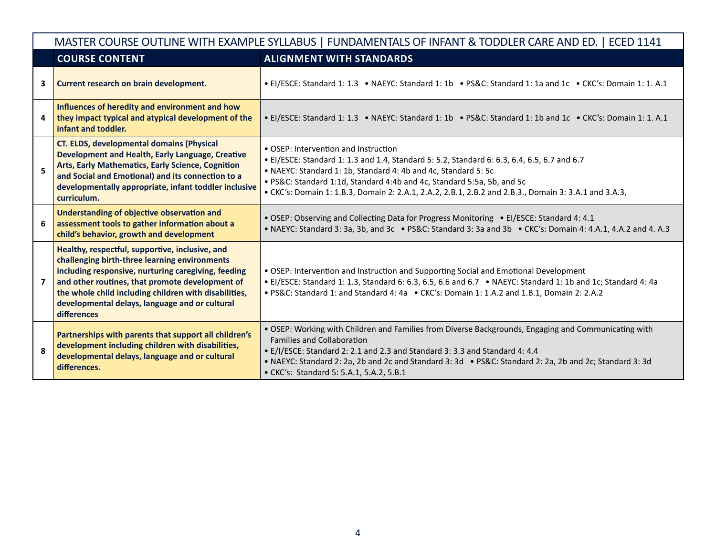|                | MASTER COURSE OUTLINE WITH EXAMPLE SYLLABUS   FUNDAMENTALS OF INFANT & TODDLER CARE AND ED.   ECED 1141                                                                                                                                                                                                                              |                                                                                                                                                                                                                                                                                                                                                                                          |  |  |  |
|----------------|--------------------------------------------------------------------------------------------------------------------------------------------------------------------------------------------------------------------------------------------------------------------------------------------------------------------------------------|------------------------------------------------------------------------------------------------------------------------------------------------------------------------------------------------------------------------------------------------------------------------------------------------------------------------------------------------------------------------------------------|--|--|--|
|                | <b>COURSE CONTENT</b>                                                                                                                                                                                                                                                                                                                | <b>ALIGNMENT WITH STANDARDS</b>                                                                                                                                                                                                                                                                                                                                                          |  |  |  |
| 3              | Current research on brain development.                                                                                                                                                                                                                                                                                               | • El/ESCE: Standard 1: 1.3 • NAEYC: Standard 1: 1b • PS&C: Standard 1: 1a and 1c • CKC's: Domain 1: 1. A.1                                                                                                                                                                                                                                                                               |  |  |  |
| 4              | Influences of heredity and environment and how<br>they impact typical and atypical development of the<br>infant and toddler.                                                                                                                                                                                                         | • El/ESCE: Standard 1: 1.3 • NAEYC: Standard 1: 1b • PS&C: Standard 1: 1b and 1c • CKC's: Domain 1: 1. A.1                                                                                                                                                                                                                                                                               |  |  |  |
| 5              | <b>CT. ELDS, developmental domains (Physical</b><br>Development and Health, Early Language, Creative<br>Arts, Early Mathematics, Early Science, Cognition<br>and Social and Emotional) and its connection to a<br>developmentally appropriate, infant toddler inclusive<br>curriculum.                                               | • OSEP: Intervention and Instruction<br>• El/ESCE: Standard 1: 1.3 and 1.4, Standard 5: 5.2, Standard 6: 6.3, 6.4, 6.5, 6.7 and 6.7<br>• NAEYC: Standard 1: 1b, Standard 4: 4b and 4c, Standard 5: 5c<br>. PS&C: Standard 1:1d, Standard 4:4b and 4c, Standard 5:5a, 5b, and 5c<br>• CKC's: Domain 1: 1.B.3, Domain 2: 2.A.1, 2.A.2, 2.B.1, 2.B.2 and 2.B.3., Domain 3: 3.A.1 and 3.A.3, |  |  |  |
| 6              | <b>Understanding of objective observation and</b><br>assessment tools to gather information about a<br>child's behavior, growth and development                                                                                                                                                                                      | • OSEP: Observing and Collecting Data for Progress Monitoring • El/ESCE: Standard 4: 4.1<br>• NAEYC: Standard 3: 3a, 3b, and 3c • PS&C: Standard 3: 3a and 3b • CKC's: Domain 4: 4.A.1, 4.A.2 and 4. A.3                                                                                                                                                                                 |  |  |  |
| $\overline{ }$ | Healthy, respectful, supportive, inclusive, and<br>challenging birth-three learning environments<br>including responsive, nurturing caregiving, feeding<br>and other routines, that promote development of<br>the whole child including children with disabilities,<br>developmental delays, language and or cultural<br>differences | • OSEP: Intervention and Instruction and Supporting Social and Emotional Development<br>• El/ESCE: Standard 1: 1.3, Standard 6: 6.3, 6.5, 6.6 and 6.7 • NAEYC: Standard 1: 1b and 1c; Standard 4: 4a<br>• PS&C: Standard 1: and Standard 4: 4a • CKC's: Domain 1: 1.A.2 and 1.B.1, Domain 2: 2.A.2                                                                                       |  |  |  |
| 8              | Partnerships with parents that support all children's<br>development including children with disabilities,<br>developmental delays, language and or cultural<br>differences.                                                                                                                                                         | . OSEP: Working with Children and Families from Diverse Backgrounds, Engaging and Communicating with<br><b>Families and Collaboration</b><br>• E/I/ESCE: Standard 2: 2.1 and 2.3 and Standard 3: 3.3 and Standard 4: 4.4<br>• NAEYC: Standard 2: 2a, 2b and 2c and Standard 3: 3d • PS&C: Standard 2: 2a, 2b and 2c; Standard 3: 3d<br>• CKC's: Standard 5: 5.A.1, 5.A.2, 5.B.1          |  |  |  |

г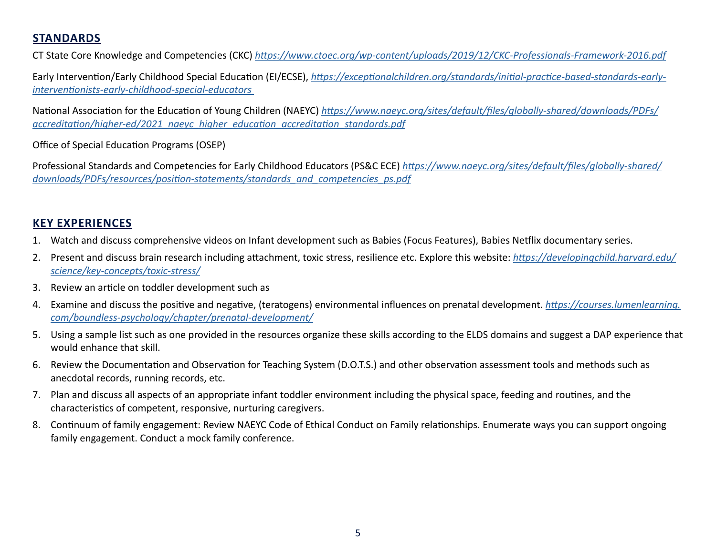## **STANDARDS**

CT State Core Knowledge and Competencies (CKC) *<https://www.ctoec.org/wp-content/uploads/2019/12/CKC-Professionals-Framework-2016.pdf>*

Early Intervention/Early Childhood Special Education (EI/ECSE), *[https://exceptionalchildren.org/standards/initial-practice-based-standards-early](https://exceptionalchildren.org/standards/initial-practice-based-standards-early-interventionists-early-childhood-special-educators)[interventionists-early-childhood-special-educators](https://exceptionalchildren.org/standards/initial-practice-based-standards-early-interventionists-early-childhood-special-educators)* 

National Association for the Education of Young Children (NAEYC) *[https://www.naeyc.org/sites/default/files/globally-shared/downloads/PDFs/](https://www.naeyc.org/sites/default/files/globally-shared/downloads/PDFs/accreditation/higher-ed/2021_naeyc_higher_education_accreditation_standards.pdf) [accreditation/higher-ed/2021\\_naeyc\\_higher\\_education\\_accreditation\\_standards.pdf](https://www.naeyc.org/sites/default/files/globally-shared/downloads/PDFs/accreditation/higher-ed/2021_naeyc_higher_education_accreditation_standards.pdf)*

Office of Special Education Programs (OSEP)

Professional Standards and Competencies for Early Childhood Educators (PS&C ECE) *[https://www.naeyc.org/sites/default/files/globally-shared/](https://www.naeyc.org/sites/default/files/globally-shared/downloads/PDFs/resources/position-statements/standards_and_competencies_ps.pdf) [downloads/PDFs/resources/position-statements/standards\\_and\\_competencies\\_ps.pdf](https://www.naeyc.org/sites/default/files/globally-shared/downloads/PDFs/resources/position-statements/standards_and_competencies_ps.pdf)*

## **KEY EXPERIENCES**

- 1. Watch and discuss comprehensive videos on Infant development such as Babies (Focus Features), Babies Netflix documentary series.
- 2. Present and discuss brain research including attachment, toxic stress, resilience etc. Explore this website: *[https://developingchild.harvard.edu/](https://developingchild.harvard.edu/science/key-concepts/toxic-stress/) [science/key-concepts/toxic-stress/](https://developingchild.harvard.edu/science/key-concepts/toxic-stress/)*
- 3. Review an article on toddler development such as
- 4. Examine and discuss the positive and negative, (teratogens) environmental influences on prenatal development. *[https://courses.lumenlearning.](https://courses.lumenlearning.com/boundless-psychology/chapter/prenatal-development/) [com/boundless-psychology/chapter/prenatal-development/](https://courses.lumenlearning.com/boundless-psychology/chapter/prenatal-development/)*
- 5. Using a sample list such as one provided in the resources organize these skills according to the ELDS domains and suggest a DAP experience that would enhance that skill.
- 6. Review the Documentation and Observation for Teaching System (D.O.T.S.) and other observation assessment tools and methods such as anecdotal records, running records, etc.
- 7. Plan and discuss all aspects of an appropriate infant toddler environment including the physical space, feeding and routines, and the characteristics of competent, responsive, nurturing caregivers.
- 8. Continuum of family engagement: Review NAEYC Code of Ethical Conduct on Family relationships. Enumerate ways you can support ongoing family engagement. Conduct a mock family conference.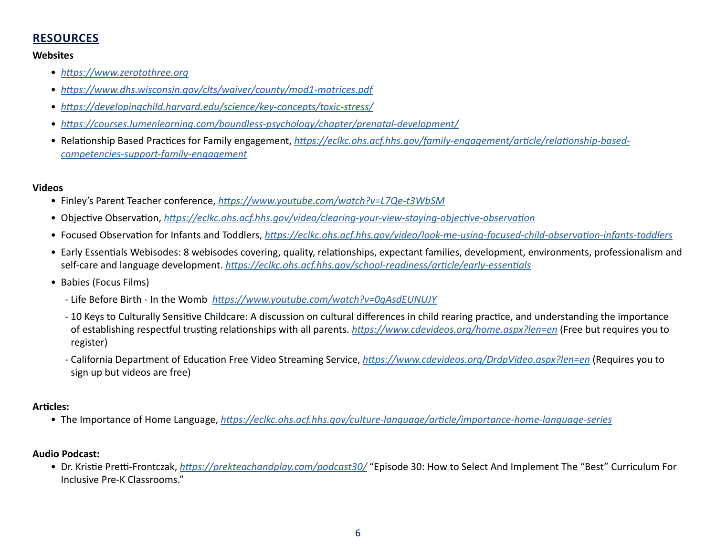## **RESOURCES**

#### **Websites**

- *<https://www.zerotothree.org>*
- *<https://www.dhs.wisconsin.gov/clts/waiver/county/mod1-matrices.pdf>*
- *<https://developingchild.harvard.edu/science/key-concepts/toxic-stress/>*
- *<https://courses.lumenlearning.com/boundless-psychology/chapter/prenatal-development/>*
- Relationship Based Practices for Family engagement, *[https://eclkc.ohs.acf.hhs.gov/family-engagement/article/relationship-based](https://eclkc.ohs.acf.hhs.gov/family-engagement/relationship-based-competencies-support-family-engagement/relationship-based-competencies-support-family-engagement)[competencies-support-family-engagement](https://eclkc.ohs.acf.hhs.gov/family-engagement/relationship-based-competencies-support-family-engagement/relationship-based-competencies-support-family-engagement)*

### **Videos**

- Finley's Parent Teacher conference, *<https://www.youtube.com/watch?v=L7Qe-t3WbSM>*
- Objective Observation, *<https://eclkc.ohs.acf.hhs.gov/video/clearing-your-view-staying-objective-observation>*
- Focused Observation for Infants and Toddlers, *<https://eclkc.ohs.acf.hhs.gov/video/look-me-using-focused-child-observation-infants-toddlers>*
- Early Essentials Webisodes: 8 webisodes covering, quality, relationships, expectant families, development, environments, professionalism and self-care and language development. *<https://eclkc.ohs.acf.hhs.gov/school-readiness/article/early-essentials>*
- Babies (Focus Films)
	- Life Before Birth In the Womb *<https://www.youtube.com/watch?v=0gAsdEUNUJY>*
	- 10 Keys to Culturally Sensitive Childcare: A discussion on cultural differences in child rearing practice, and understanding the importance of establishing respectful trusting relationships with all parents. *<https://www.cdevideos.org/home.aspx?len=en>* (Free but requires you to register)
	- California Department of Education Free Video Streaming Service, *<https://www.cdevideos.org/DrdpVideo.aspx?len=en>* (Requires you to sign up but videos are free)

### **Articles:**

• The Importance of Home Language, *<https://eclkc.ohs.acf.hhs.gov/culture-language/article/importance-home-language-series>*

### **Audio Podcast:**

• Dr. Kristie Pretti-Frontczak, *<https://prekteachandplay.com/podcast30/>* "Episode 30: How to Select And Implement The "Best" Curriculum For Inclusive Pre-K Classrooms."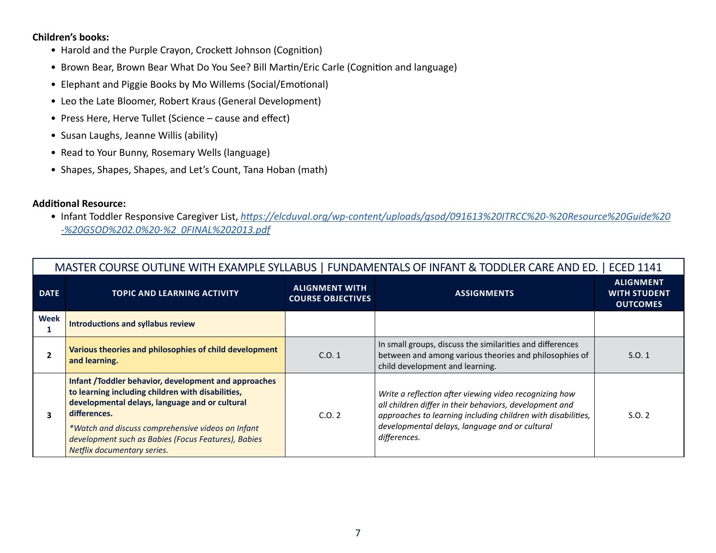#### **Children's books:**

- Harold and the Purple Crayon, Crockett Johnson (Cognition)
- Brown Bear, Brown Bear What Do You See? Bill Martin/Eric Carle (Cognition and language)
- Elephant and Piggie Books by Mo Willems (Social/Emotional)
- Leo the Late Bloomer, Robert Kraus (General Development)
- Press Here, Herve Tullet (Science cause and effect)
- Susan Laughs, Jeanne Willis (ability)
- Read to Your Bunny, Rosemary Wells (language)
- Shapes, Shapes, Shapes, and Let's Count, Tana Hoban (math)

### **Additional Resource:**

• Infant Toddler Responsive Caregiver List, *[https://elcduval.org/wp-content/uploads/gsod/091613%20ITRCC%20-%20Resource%20Guide%20](https://elcduval.org/wp-content/uploads/gsod/091613%20ITRCC%20-%20Resource%20Guide%20-%20GSOD%202.0%20-%20FINAL%202013.pdf) [-%20GSOD%202.0%20-%2 0FINAL%202013.pdf](https://elcduval.org/wp-content/uploads/gsod/091613%20ITRCC%20-%20Resource%20Guide%20-%20GSOD%202.0%20-%20FINAL%202013.pdf)*

|                | MASTER COURSE OUTLINE WITH EXAMPLE SYLLABUS   FUNDAMENTALS OF INFANT & TODDLER CARE AND ED.   ECED 1141                                                                                                                                                                                                                |                                                   |                                                                                                                                                                                                                                                     |                                                            |  |
|----------------|------------------------------------------------------------------------------------------------------------------------------------------------------------------------------------------------------------------------------------------------------------------------------------------------------------------------|---------------------------------------------------|-----------------------------------------------------------------------------------------------------------------------------------------------------------------------------------------------------------------------------------------------------|------------------------------------------------------------|--|
| <b>DATE</b>    | <b>TOPIC AND LEARNING ACTIVITY</b>                                                                                                                                                                                                                                                                                     | <b>ALIGNMENT WITH</b><br><b>COURSE OBJECTIVES</b> | <b>ASSIGNMENTS</b>                                                                                                                                                                                                                                  | <b>ALIGNMENT</b><br><b>WITH STUDENT</b><br><b>OUTCOMES</b> |  |
| Week           | <b>Introductions and syllabus review</b>                                                                                                                                                                                                                                                                               |                                                   |                                                                                                                                                                                                                                                     |                                                            |  |
| $\overline{2}$ | Various theories and philosophies of child development<br>and learning.                                                                                                                                                                                                                                                | C.0.1                                             | In small groups, discuss the similarities and differences<br>between and among various theories and philosophies of<br>child development and learning.                                                                                              | S.0.1                                                      |  |
| 3              | Infant /Toddler behavior, development and approaches<br>to learning including children with disabilities,<br>developmental delays, language and or cultural<br>differences.<br>*Watch and discuss comprehensive videos on Infant<br>development such as Babies (Focus Features), Babies<br>Netflix documentary series. | C.0.2                                             | Write a reflection after viewing video recognizing how<br>all children differ in their behaviors, development and<br>approaches to learning including children with disabilities,<br>developmental delays, language and or cultural<br>differences. | S.O. 2                                                     |  |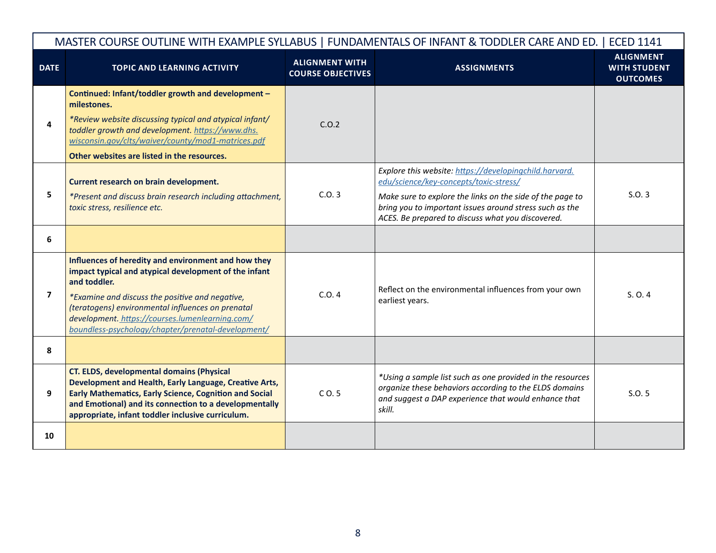|             | MASTER COURSE OUTLINE WITH EXAMPLE SYLLABUS   FUNDAMENTALS OF INFANT & TODDLER CARE AND ED.   ECED 1141                                                                                                                                                                                                                                       |                                                   |                                                                                                                                                                                                                                                                               |                                                            |  |
|-------------|-----------------------------------------------------------------------------------------------------------------------------------------------------------------------------------------------------------------------------------------------------------------------------------------------------------------------------------------------|---------------------------------------------------|-------------------------------------------------------------------------------------------------------------------------------------------------------------------------------------------------------------------------------------------------------------------------------|------------------------------------------------------------|--|
| <b>DATE</b> | <b>TOPIC AND LEARNING ACTIVITY</b>                                                                                                                                                                                                                                                                                                            | <b>ALIGNMENT WITH</b><br><b>COURSE OBJECTIVES</b> | <b>ASSIGNMENTS</b>                                                                                                                                                                                                                                                            | <b>ALIGNMENT</b><br><b>WITH STUDENT</b><br><b>OUTCOMES</b> |  |
| 4           | Continued: Infant/toddler growth and development -<br>milestones.<br>*Review website discussing typical and atypical infant/<br>toddler growth and development. https://www.dhs.<br>wisconsin.gov/clts/waiver/county/mod1-matrices.pdf<br>Other websites are listed in the resources.                                                         | C.0.2                                             |                                                                                                                                                                                                                                                                               |                                                            |  |
| 5           | Current research on brain development.<br>*Present and discuss brain research including attachment,<br>toxic stress, resilience etc.                                                                                                                                                                                                          | C.0.3                                             | Explore this website: https://developingchild.harvard.<br>edu/science/key-concepts/toxic-stress/<br>Make sure to explore the links on the side of the page to<br>bring you to important issues around stress such as the<br>ACES. Be prepared to discuss what you discovered. | S.0.3                                                      |  |
| 6           |                                                                                                                                                                                                                                                                                                                                               |                                                   |                                                                                                                                                                                                                                                                               |                                                            |  |
| 7           | Influences of heredity and environment and how they<br>impact typical and atypical development of the infant<br>and toddler.<br>*Examine and discuss the positive and negative,<br>(teratogens) environmental influences on prenatal<br>development. https://courses.lumenlearning.com/<br>boundless-psychology/chapter/prenatal-development/ | C.0.4                                             | Reflect on the environmental influences from your own<br>earliest years.                                                                                                                                                                                                      | S. O. 4                                                    |  |
| 8           |                                                                                                                                                                                                                                                                                                                                               |                                                   |                                                                                                                                                                                                                                                                               |                                                            |  |
| 9           | <b>CT. ELDS, developmental domains (Physical</b><br>Development and Health, Early Language, Creative Arts,<br><b>Early Mathematics, Early Science, Cognition and Social</b><br>and Emotional) and its connection to a developmentally<br>appropriate, infant toddler inclusive curriculum.                                                    | C <sub>0.5</sub>                                  | *Using a sample list such as one provided in the resources<br>organize these behaviors according to the ELDS domains<br>and suggest a DAP experience that would enhance that<br>skill.                                                                                        | S.0.5                                                      |  |
| 10          |                                                                                                                                                                                                                                                                                                                                               |                                                   |                                                                                                                                                                                                                                                                               |                                                            |  |